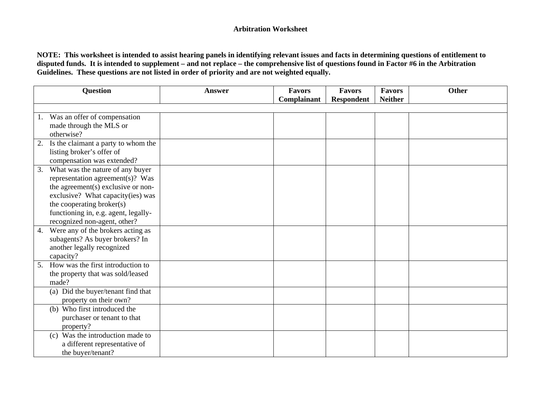|                  | Question                                                                                                                                                                                                                                             | <b>Answer</b> | Favors      | Favors            | <b>Favors</b>  | <b>Other</b> |
|------------------|------------------------------------------------------------------------------------------------------------------------------------------------------------------------------------------------------------------------------------------------------|---------------|-------------|-------------------|----------------|--------------|
|                  |                                                                                                                                                                                                                                                      |               | Complainant | <b>Respondent</b> | <b>Neither</b> |              |
| 1.<br>otherwise? | Was an offer of compensation<br>made through the MLS or                                                                                                                                                                                              |               |             |                   |                |              |
| 2.               | Is the claimant a party to whom the<br>listing broker's offer of<br>compensation was extended?                                                                                                                                                       |               |             |                   |                |              |
| 3.               | What was the nature of any buyer<br>representation agreement(s)? Was<br>the agreement(s) exclusive or non-<br>exclusive? What capacity(ies) was<br>the cooperating broker(s)<br>functioning in, e.g. agent, legally-<br>recognized non-agent, other? |               |             |                   |                |              |
| 4.<br>capacity?  | Were any of the brokers acting as<br>subagents? As buyer brokers? In<br>another legally recognized                                                                                                                                                   |               |             |                   |                |              |
| 5.<br>made?      | How was the first introduction to<br>the property that was sold/leased                                                                                                                                                                               |               |             |                   |                |              |
|                  | (a) Did the buyer/tenant find that<br>property on their own?                                                                                                                                                                                         |               |             |                   |                |              |
| property?        | (b) Who first introduced the<br>purchaser or tenant to that                                                                                                                                                                                          |               |             |                   |                |              |
|                  | (c) Was the introduction made to<br>a different representative of<br>the buyer/tenant?                                                                                                                                                               |               |             |                   |                |              |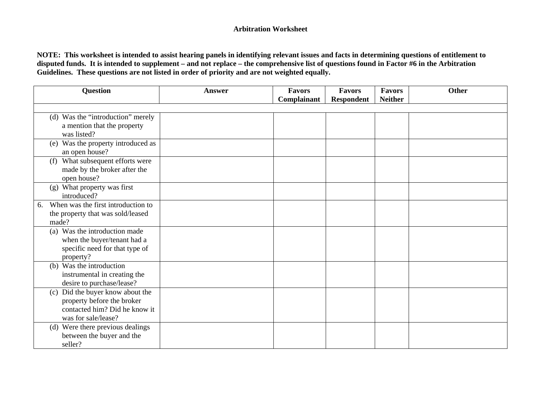| <b>Question</b>                                                                                                           | Answer | <b>Favors</b><br>Complainant | <b>Favors</b><br><b>Respondent</b> | <b>Favors</b><br><b>Neither</b> | <b>Other</b> |
|---------------------------------------------------------------------------------------------------------------------------|--------|------------------------------|------------------------------------|---------------------------------|--------------|
|                                                                                                                           |        |                              |                                    |                                 |              |
| (d) Was the "introduction" merely<br>a mention that the property<br>was listed?                                           |        |                              |                                    |                                 |              |
| Was the property introduced as<br>(e)<br>an open house?                                                                   |        |                              |                                    |                                 |              |
| (f) What subsequent efforts were<br>made by the broker after the<br>open house?                                           |        |                              |                                    |                                 |              |
| (g) What property was first<br>introduced?                                                                                |        |                              |                                    |                                 |              |
| When was the first introduction to<br>6.<br>the property that was sold/leased<br>made?                                    |        |                              |                                    |                                 |              |
| (a) Was the introduction made<br>when the buyer/tenant had a<br>specific need for that type of<br>property?               |        |                              |                                    |                                 |              |
| (b) Was the introduction<br>instrumental in creating the<br>desire to purchase/lease?                                     |        |                              |                                    |                                 |              |
| Did the buyer know about the<br>(c)<br>property before the broker<br>contacted him? Did he know it<br>was for sale/lease? |        |                              |                                    |                                 |              |
| (d) Were there previous dealings<br>between the buyer and the<br>seller?                                                  |        |                              |                                    |                                 |              |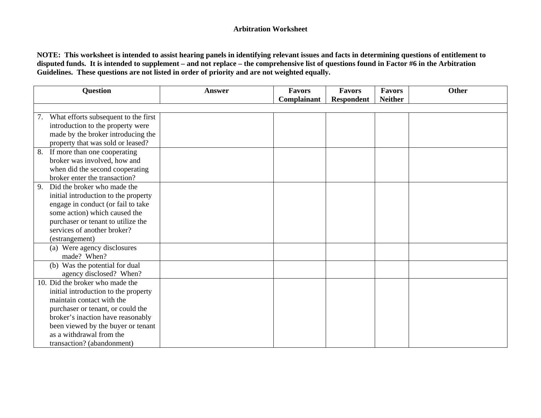| <b>Question</b>                            | <b>Answer</b> | <b>Favors</b> | <b>Favors</b>     | <b>Favors</b>  | Other |
|--------------------------------------------|---------------|---------------|-------------------|----------------|-------|
|                                            |               | Complainant   | <b>Respondent</b> | <b>Neither</b> |       |
| What efforts subsequent to the first<br>7. |               |               |                   |                |       |
| introduction to the property were          |               |               |                   |                |       |
| made by the broker introducing the         |               |               |                   |                |       |
| property that was sold or leased?          |               |               |                   |                |       |
| If more than one cooperating<br>8.         |               |               |                   |                |       |
| broker was involved, how and               |               |               |                   |                |       |
| when did the second cooperating            |               |               |                   |                |       |
| broker enter the transaction?              |               |               |                   |                |       |
| Did the broker who made the<br>9.          |               |               |                   |                |       |
| initial introduction to the property       |               |               |                   |                |       |
| engage in conduct (or fail to take         |               |               |                   |                |       |
| some action) which caused the              |               |               |                   |                |       |
| purchaser or tenant to utilize the         |               |               |                   |                |       |
| services of another broker?                |               |               |                   |                |       |
| (estrangement)                             |               |               |                   |                |       |
| (a) Were agency disclosures                |               |               |                   |                |       |
| made? When?                                |               |               |                   |                |       |
| (b) Was the potential for dual             |               |               |                   |                |       |
| agency disclosed? When?                    |               |               |                   |                |       |
| 10. Did the broker who made the            |               |               |                   |                |       |
| initial introduction to the property       |               |               |                   |                |       |
| maintain contact with the                  |               |               |                   |                |       |
| purchaser or tenant, or could the          |               |               |                   |                |       |
| broker's inaction have reasonably          |               |               |                   |                |       |
| been viewed by the buyer or tenant         |               |               |                   |                |       |
| as a withdrawal from the                   |               |               |                   |                |       |
| transaction? (abandonment)                 |               |               |                   |                |       |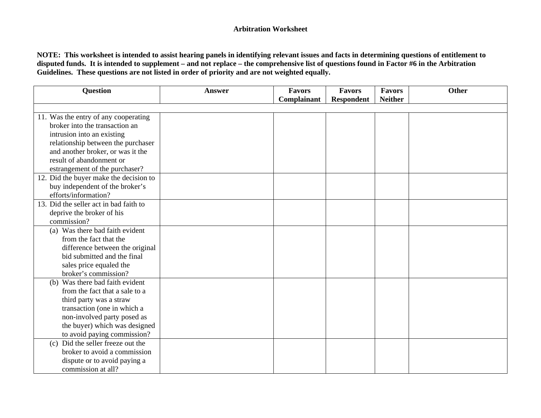| <b>Question</b>                        | <b>Answer</b> | <b>Favors</b> | <b>Favors</b>     | <b>Favors</b>  | <b>Other</b> |
|----------------------------------------|---------------|---------------|-------------------|----------------|--------------|
|                                        |               | Complainant   | <b>Respondent</b> | <b>Neither</b> |              |
| 11. Was the entry of any cooperating   |               |               |                   |                |              |
| broker into the transaction an         |               |               |                   |                |              |
| intrusion into an existing             |               |               |                   |                |              |
| relationship between the purchaser     |               |               |                   |                |              |
| and another broker, or was it the      |               |               |                   |                |              |
| result of abandonment or               |               |               |                   |                |              |
| estrangement of the purchaser?         |               |               |                   |                |              |
| 12. Did the buyer make the decision to |               |               |                   |                |              |
| buy independent of the broker's        |               |               |                   |                |              |
| efforts/information?                   |               |               |                   |                |              |
| 13. Did the seller act in bad faith to |               |               |                   |                |              |
| deprive the broker of his              |               |               |                   |                |              |
| commission?                            |               |               |                   |                |              |
| (a) Was there bad faith evident        |               |               |                   |                |              |
| from the fact that the                 |               |               |                   |                |              |
| difference between the original        |               |               |                   |                |              |
| bid submitted and the final            |               |               |                   |                |              |
| sales price equaled the                |               |               |                   |                |              |
| broker's commission?                   |               |               |                   |                |              |
| (b) Was there bad faith evident        |               |               |                   |                |              |
| from the fact that a sale to a         |               |               |                   |                |              |
| third party was a straw                |               |               |                   |                |              |
| transaction (one in which a            |               |               |                   |                |              |
| non-involved party posed as            |               |               |                   |                |              |
| the buyer) which was designed          |               |               |                   |                |              |
| to avoid paying commission?            |               |               |                   |                |              |
| Did the seller freeze out the<br>(c)   |               |               |                   |                |              |
| broker to avoid a commission           |               |               |                   |                |              |
| dispute or to avoid paying a           |               |               |                   |                |              |
| commission at all?                     |               |               |                   |                |              |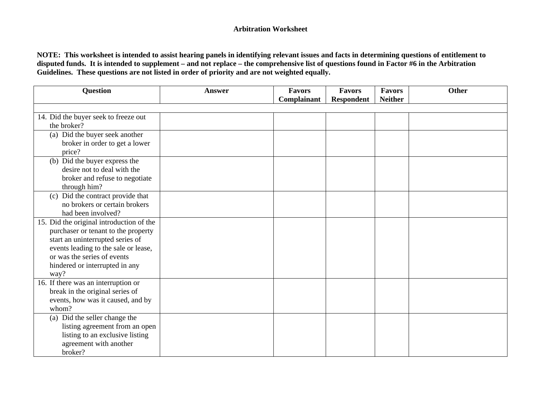| <b>Question</b>                            | <b>Answer</b> | <b>Favors</b> | Favors            | <b>Favors</b>  | Other |
|--------------------------------------------|---------------|---------------|-------------------|----------------|-------|
|                                            |               | Complainant   | <b>Respondent</b> | <b>Neither</b> |       |
| 14. Did the buyer seek to freeze out       |               |               |                   |                |       |
| the broker?                                |               |               |                   |                |       |
| (a) Did the buyer seek another             |               |               |                   |                |       |
| broker in order to get a lower             |               |               |                   |                |       |
| price?                                     |               |               |                   |                |       |
| (b) Did the buyer express the              |               |               |                   |                |       |
| desire not to deal with the                |               |               |                   |                |       |
| broker and refuse to negotiate             |               |               |                   |                |       |
| through him?                               |               |               |                   |                |       |
| (c) Did the contract provide that          |               |               |                   |                |       |
| no brokers or certain brokers              |               |               |                   |                |       |
| had been involved?                         |               |               |                   |                |       |
| 15. Did the original introduction of the   |               |               |                   |                |       |
| purchaser or tenant to the property        |               |               |                   |                |       |
| start an uninterrupted series of           |               |               |                   |                |       |
| events leading to the sale or lease,       |               |               |                   |                |       |
| or was the series of events                |               |               |                   |                |       |
| hindered or interrupted in any             |               |               |                   |                |       |
| way?                                       |               |               |                   |                |       |
| 16. If there was an interruption or        |               |               |                   |                |       |
| break in the original series of            |               |               |                   |                |       |
| events, how was it caused, and by<br>whom? |               |               |                   |                |       |
| (a) Did the seller change the              |               |               |                   |                |       |
| listing agreement from an open             |               |               |                   |                |       |
| listing to an exclusive listing            |               |               |                   |                |       |
| agreement with another                     |               |               |                   |                |       |
| broker?                                    |               |               |                   |                |       |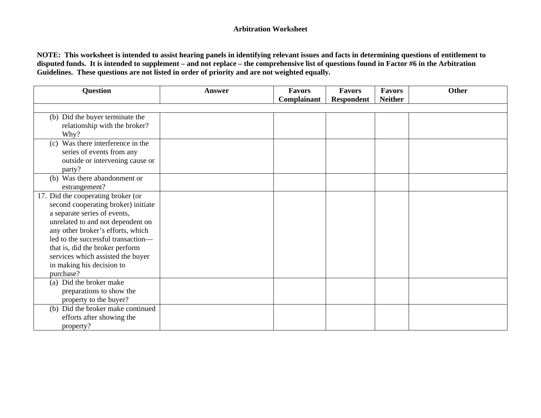| <b>Question</b>                      | Answer | <b>Favors</b> | <b>Favors</b>     | <b>Favors</b>  | <b>Other</b> |
|--------------------------------------|--------|---------------|-------------------|----------------|--------------|
|                                      |        | Complainant   | <b>Respondent</b> | <b>Neither</b> |              |
|                                      |        |               |                   |                |              |
| (b) Did the buyer terminate the      |        |               |                   |                |              |
| relationship with the broker?        |        |               |                   |                |              |
| Why?                                 |        |               |                   |                |              |
| Was there interference in the<br>(c) |        |               |                   |                |              |
| series of events from any            |        |               |                   |                |              |
| outside or intervening cause or      |        |               |                   |                |              |
| party?                               |        |               |                   |                |              |
| (b) Was there abandonment or         |        |               |                   |                |              |
| estrangement?                        |        |               |                   |                |              |
| 17. Did the cooperating broker (or   |        |               |                   |                |              |
| second cooperating broker) initiate  |        |               |                   |                |              |
| a separate series of events,         |        |               |                   |                |              |
| unrelated to and not dependent on    |        |               |                   |                |              |
| any other broker's efforts, which    |        |               |                   |                |              |
| led to the successful transaction-   |        |               |                   |                |              |
| that is, did the broker perform      |        |               |                   |                |              |
| services which assisted the buyer    |        |               |                   |                |              |
| in making his decision to            |        |               |                   |                |              |
| purchase?                            |        |               |                   |                |              |
| (a) Did the broker make              |        |               |                   |                |              |
| preparations to show the             |        |               |                   |                |              |
| property to the buyer?               |        |               |                   |                |              |
| (b) Did the broker make continued    |        |               |                   |                |              |
| efforts after showing the            |        |               |                   |                |              |
| property?                            |        |               |                   |                |              |